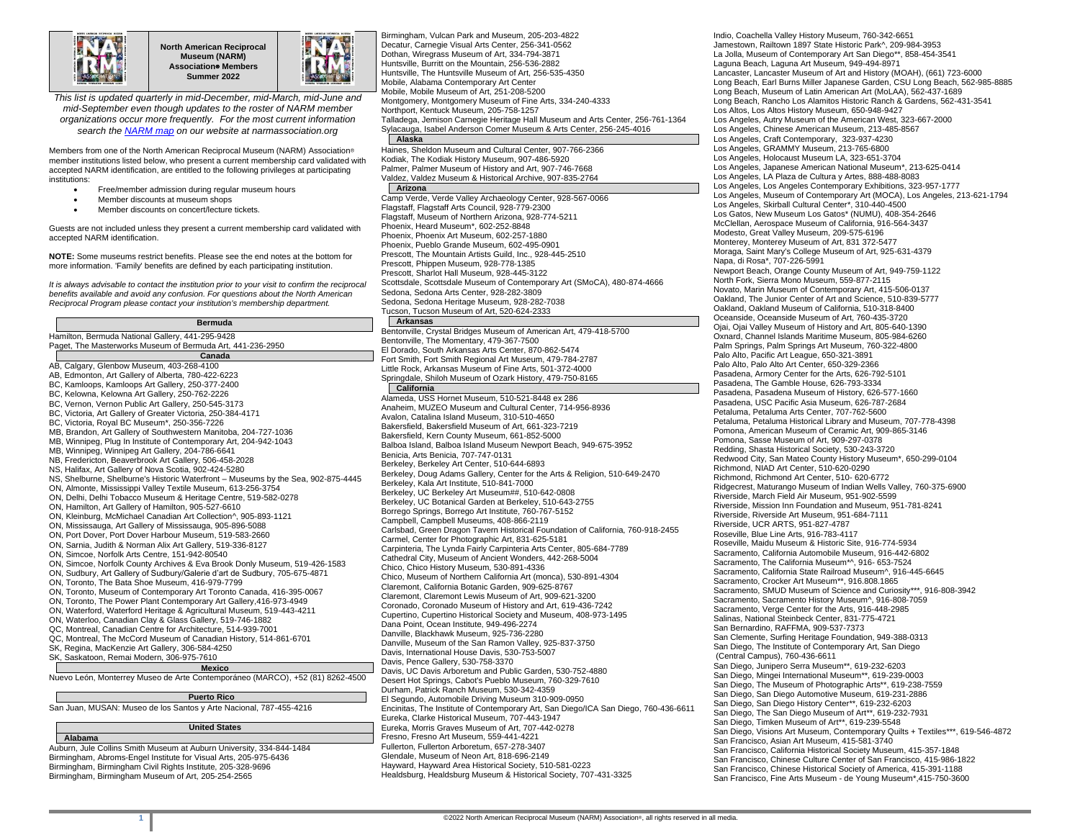

**North American Reciprocal Museum (NARM) Association**® **Members Summer 2022**



*This list is updated quarterly in mid-December, mid-March, mid-June and mid-September even though updates to the roster of NARM member organizations occur more frequently. For the most current information search th[e NARM map](https://narmassociation.org/members) on our website at narmassociation.org*

Members from one of the North American Reciprocal Museum (NARM) Association® member institutions listed below, who present a current membership card validated with accepted NARM identification, are entitled to the following privileges at participating institutions:

- Free/member admission during regular museum hours
- Member discounts at museum shops
- Member discounts on concert/lecture tickets.

Guests are not included unless they present a current membership card validated with accepted NARM identification.

**NOTE:** Some museums restrict benefits. Please see the end notes at the bottom for more information. 'Family' benefits are defined by each participating institution.

*It is always advisable to contact the institution prior to your visit to confirm the reciprocal benefits available and avoid any confusion. For questions about the North American Reciprocal Program please contact your institution's membership department.*

| <b>Bermuda</b>                                                                                                                                           | Ark                              |
|----------------------------------------------------------------------------------------------------------------------------------------------------------|----------------------------------|
| Hamilton, Bermuda National Gallery, 441-295-9428                                                                                                         | <b>Bentony</b>                   |
| Paget, The Masterworks Museum of Bermuda Art, 441-236-2950                                                                                               | <b>Bentony</b>                   |
| Canada                                                                                                                                                   | El Dora                          |
| AB, Calgary, Glenbow Museum, 403-268-4100                                                                                                                | Fort Sm                          |
| AB, Edmonton, Art Gallery of Alberta, 780-422-6223                                                                                                       | Little Ro                        |
| BC, Kamloops, Kamloops Art Gallery, 250-377-2400                                                                                                         | Springd                          |
| BC, Kelowna, Kelowna Art Gallery, 250-762-2226                                                                                                           | Cal                              |
| BC, Vernon, Vernon Public Art Gallery, 250-545-3173                                                                                                      | Alamed                           |
| BC, Victoria, Art Gallery of Greater Victoria, 250-384-4171                                                                                              | Anaheir                          |
| BC, Victoria, Royal BC Museum*, 250-356-7226                                                                                                             | Avalon.                          |
| MB, Brandon, Art Gallery of Southwestern Manitoba, 204-727-1036                                                                                          | <b>Bakersf</b><br><b>Bakersf</b> |
| MB, Winnipeg, Plug In Institute of Contemporary Art, 204-942-1043                                                                                        | Balboa                           |
| MB, Winnipeg, Winnipeg Art Gallery, 204-786-6641                                                                                                         | Benicia.                         |
| NB, Fredericton, Beaverbrook Art Gallery, 506-458-2028                                                                                                   | <b>Berkele</b>                   |
| NS, Halifax, Art Gallery of Nova Scotia, 902-424-5280                                                                                                    | <b>Berkele</b>                   |
| NS, Shelburne, Shelburne's Historic Waterfront - Museums by the Sea, 902-875-4445                                                                        | <b>Berkele</b>                   |
| ON, Almonte, Mississippi Valley Textile Museum, 613-256-3754                                                                                             | <b>Berkele</b>                   |
| ON, Delhi, Delhi Tobacco Museum & Heritage Centre, 519-582-0278                                                                                          | <b>Berkele</b>                   |
| ON, Hamilton, Art Gallery of Hamilton, 905-527-6610                                                                                                      | Borrego                          |
| ON, Kleinburg, McMichael Canadian Art Collection^, 905-893-1121                                                                                          | Campbe                           |
| ON, Mississauga, Art Gallery of Mississauga, 905-896-5088                                                                                                | Carlsba                          |
| ON, Port Dover, Port Dover Harbour Museum, 519-583-2660                                                                                                  | Carmel,                          |
| ON, Sarnia, Judith & Norman Alix Art Gallery, 519-336-8127                                                                                               | Carpinte                         |
| ON, Simcoe, Norfolk Arts Centre, 151-942-80540                                                                                                           | Cathedr                          |
| ON, Simcoe, Norfolk County Archives & Eva Brook Donly Museum, 519-426-1583<br>ON, Sudbury, Art Gallery of Sudbury/Galerie d'art de Sudbury, 705-675-4871 | Chico, C                         |
| ON, Toronto, The Bata Shoe Museum, 416-979-7799                                                                                                          | Chico, N                         |
| ON, Toronto, Museum of Contemporary Art Toronto Canada, 416-395-0067                                                                                     | Claremo                          |
| ON, Toronto, The Power Plant Contemporary Art Gallery, 416-973-4949                                                                                      | Claremo                          |
| ON, Waterford, Waterford Heritage & Agricultural Museum, 519-443-4211                                                                                    | Corona                           |
| ON, Waterloo, Canadian Clay & Glass Gallery, 519-746-1882                                                                                                | Cupertir                         |
| QC, Montreal, Canadian Centre for Architecture, 514-939-7001                                                                                             | Dana P                           |
| QC, Montreal, The McCord Museum of Canadian History, 514-861-6701                                                                                        | Danville                         |
| SK, Regina, MacKenzie Art Gallery, 306-584-4250                                                                                                          | Danville                         |
| SK, Saskatoon, Remai Modern, 306-975-7610                                                                                                                | Davis, lı                        |
| Mexico                                                                                                                                                   | Davis, F                         |
| Nuevo León, Monterrey Museo de Arte Contemporáneo (MARCO), +52 (81) 8262-4500                                                                            | Davis, L<br>Desert I             |
|                                                                                                                                                          | Durham                           |
| <b>Puerto Rico</b>                                                                                                                                       | El Segu                          |
| San Juan, MUSAN: Museo de los Santos y Arte Nacional, 787-455-4216                                                                                       | Encinita                         |

## **Alabama**

Auburn, Jule Collins Smith Museum at Auburn University, 334-844-1484 Birmingham, Abroms-Engel Institute for Visual Arts, 205-975-6436 Birmingham, Birmingham Civil Rights Institute, 205-328-9696 Birmingham, Birmingham Museum of Art, 205-254-2565

**United States**

Decatur, Carnegie Visual Arts Center, 256-341-0562 Dothan, Wiregrass Museum of Art, 334-794-3871 Huntsville, Burritt on the Mountain, 256-536-2882 Huntsville, The Huntsville Museum of Art, 256-535-4350 Mobile, Alabama Contemporary Art Center Mobile, Mobile Museum of Art, 251-208-5200 Montgomery, Montgomery Museum of Fine Arts, 334-240-4333 Northport, Kentuck Museum, 205-758-1257 Talladega, Jemison Carnegie Heritage Hall Museum and Arts Center, 256-761-1364 Sylacauga, Isabel Anderson Comer Museum & Arts Center, 256-245-4016 **Alaska** Haines, Sheldon Museum and Cultural Center, 907-766-2366 Kodiak, The Kodiak History Museum, 907-486-5920 Palmer, Palmer Museum of History and Art, 907-746-7668 Valdez, Valdez Museum & Historical Archive, 907-835-2764 **Arizona** Camp Verde, Verde Valley Archaeology Center, 928-567-0066 Flagstaff, Flagstaff Arts Council, 928-779-2300 Flagstaff, Museum of Northern Arizona, 928-774-5211 Phoenix, Heard Museum\*, 602-252-8848 Phoenix, Phoenix Art Museum, 602-257-1880 Phoenix, Pueblo Grande Museum, 602-495-0901 Prescott, The Mountain Artists Guild, Inc., 928-445-2510 Prescott, Phippen Museum, 928-778-1385 Prescott, Sharlot Hall Museum, 928-445-3122 Scottsdale, Scottsdale Museum of Contemporary Art (SMoCA), 480-874-4666 Sedona, Sedona Arts Center, 928-282-3809 Sedona, Sedona Heritage Museum, 928-282-7038 Tucson, Tucson Museum of Art, 520-624-2333 **Arkansas** ville, Crystal Bridges Museum of American Art, 479-418-5700 ville, The Momentary, 479-367-7500 do, South Arkansas Arts Center, 870-862-5474 ith, Fort Smith Regional Art Museum, 479-784-2787 ock, Arkansas Museum of Fine Arts, 501-372-4000 ale, Shiloh Museum of Ozark History, 479-750-8165 **California** a, USS Hornet Museum, 510-521-8448 ex 286 n, MUZEO Museum and Cultural Center, 714-956-8936 Catalina Island Museum, 310-510-4650 ield, Bakersfield Museum of Art, 661-323-7219 ield, Kern County Museum, 661-852-5000 Island, Balboa Island Museum Newport Beach, 949-675-3952 Benicia, Arts Benicia, 707-747-0131 y, Berkeley Art Center, 510-644-6893 y, Doug Adams Gallery, Center for the Arts & Religion, 510-649-2470 y, Kala Art Institute, 510-841-7000 Berkeley, UC Berkeley Art Museum##, 510-642-0808 y, UC Botanical Garden at Berkeley, 510-643-2755 Borrego Springs, Borrego Art Institute, 760-767-5152 Campbell, Campbell Museums, 408-866-2119 d, Green Dragon Tavern Historical Foundation of California, 760-918-2455 Center for Photographic Art, 831-625-5181 eria, The Lynda Fairly Carpinteria Arts Center, 805-684-7789 ral City, Museum of Ancient Wonders, 442-268-5004 Chico, Chico History Museum, 530-891-4336 Chico, Museum of Northern California Art (monca), 530-891-4304 ont, California Botanic Garden, 909-625-8767 ont, Claremont Lewis Museum of Art, 909-621-3200 Coronado, Coronado Museum of History and Art, 619-436-7242 Cupertino, Cupertino Historical Society and Museum, 408-973-1495 oint, Ocean Institute, 949-496-2274 Blackhawk Museum, 925-736-2280 Museum of the San Ramon Valley, 925-837-3750 nternational House Davis, 530-753-5007 Pence Gallery, 530-758-3370 Davis, UC Davis Arboretum and Public Garden, 530-752-4880 Hot Springs, Cabot's Pueblo Museum, 760-329-7610 , Patrick Ranch Museum, 530-342-4359 ndo, Automobile Driving Museum 310-909-0950 is, The Institute of Contemporary Art, San Diego/ICA San Diego, 760-436-6611 Eureka, Clarke Historical Museum, 707-443-1947 Eureka, Morris Graves Museum of Art, 707-442-0278 Fresno, Fresno Art Museum, 559-441-4221 Fullerton, Fullerton Arboretum, 657-278-3407 Glendale, Museum of Neon Art, 818-696-2149 Hayward, Hayward Area Historical Society, 510-581-0223 Healdsburg, Healdsburg Museum & Historical Society, 707-431-3325

Birmingham, Vulcan Park and Museum, 205-203-4822

Indio, Coachella Valley History Museum, 760-342-6651 Jamestown, Railtown 1897 State Historic Park^, 209-984-3953 La Jolla, Museum of Contemporary Art San Diego\*\*, 858-454-3541 Laguna Beach, Laguna Art Museum, 949-494-8971 Lancaster, Lancaster Museum of Art and History (MOAH), (661) 723-6000 Long Beach, Earl Burns Miller Japanese Garden, CSU Long Beach, 562-985-8885 Long Beach, Museum of Latin American Art (MoLAA), 562-437-1689 Long Beach, Rancho Los Alamitos Historic Ranch & Gardens, 562-431-3541 Los Altos, Los Altos History Museum, 650-948-9427 Los Angeles, Autry Museum of the American West, 323-667-2000 Los Angeles, Chinese American Museum, 213-485-8567 Los Angeles, Craft Contemporary, 323-937-4230 Los Angeles, GRAMMY Museum, 213-765-6800 Los Angeles, Holocaust Museum LA, 323-651-3704 Los Angeles, Japanese American National Museum\*, 213-625-0414 Los Angeles, LA Plaza de Cultura y Artes, 888-488-8083 Los Angeles, Los Angeles Contemporary Exhibitions, 323-957-1777 Los Angeles, Museum of Contemporary Art (MOCA), Los Angeles, 213-621-1794 Los Angeles, Skirball Cultural Center\*, 310-440-4500 Los Gatos, New Museum Los Gatos\* (NUMU), 408-354-2646 McClellan, Aerospace Museum of California, 916-564-3437 Modesto, Great Valley Museum, 209-575-6196 Monterey, Monterey Museum of Art, 831 372-5477 Moraga, Saint Mary's College Museum of Art, 925-631-4379 Napa, di Rosa\*, 707-226-5991 Newport Beach, Orange County Museum of Art, 949-759-1122 North Fork, Sierra Mono Museum, 559-877-2115 Novato, Marin Museum of Contemporary Art, 415-506-0137 Oakland, The Junior Center of Art and Science, 510-839-5777 Oakland, Oakland Museum of California, 510-318-8400 Oceanside, Oceanside Museum of Art, 760-435-3720 Ojai, Ojai Valley Museum of History and Art, 805-640-1390 Oxnard, Channel Islands Maritime Museum, 805-984-6260 Palm Springs, Palm Springs Art Museum, 760-322-4800 Palo Alto, Pacific Art League, 650-321-3891 Palo Alto, Palo Alto Art Center, 650-329-2366 Pasadena, Armory Center for the Arts, 626-792-5101 Pasadena, The Gamble House, 626-793-3334 Pasadena, Pasadena Museum of History, 626-577-1660 Pasadena, USC Pacific Asia Museum, 626-787-2684 Petaluma, Petaluma Arts Center, 707-762-5600 Petaluma, Petaluma Historical Library and Museum, 707-778-4398 Pomona, American Museum of Ceramic Art, 909-865-3146 Pomona, Sasse Museum of Art, 909-297-0378 Redding, Shasta Historical Society, 530-243-3720 Redwood City, San Mateo County History Museum\*, 650-299-0104 Richmond, NIAD Art Center, 510-620-0290 Richmond, Richmond Art Center, 510- 620-6772 Ridgecrest, Maturango Museum of Indian Wells Valley, 760-375-6900 Riverside, March Field Air Museum, 951-902-5599 Riverside, Mission Inn Foundation and Museum, 951-781-8241 Riverside, Riverside Art Museum, 951-684-7111 Riverside, UCR ARTS, 951-827-4787 Roseville, Blue Line Arts, 916-783-4117 Roseville, Maidu Museum & Historic Site, 916-774-5934 Sacramento, California Automobile Museum, 916-442-6802 Sacramento, The California Museum\*^, 916- 653-7524 Sacramento, California State Railroad Museum^, 916-445-6645 Sacramento, Crocker Art Museum\*\*, 916.808.1865 Sacramento, SMUD Museum of Science and Curiosity\*\*\*, 916-808-3942 Sacramento, Sacramento History Museum^, 916-808-7059 Sacramento, Verge Center for the Arts, 916-448-2985 Salinas, National Steinbeck Center, 831-775-4721 San Bernardino, RAFFMA, 909-537-7373 San Clemente, Surfing Heritage Foundation, 949-388-0313 San Diego, The Institute of Contemporary Art, San Diego (Central Campus), 760-436-6611 San Diego, Junipero Serra Museum\*\*, 619-232-6203 San Diego, Mingei International Museum\*\*, 619-239-0003 San Diego, The Museum of Photographic Arts\*\*, 619-238-7559 San Diego, San Diego Automotive Museum, 619-231-2886 San Diego, San Diego History Center\*\*, 619-232-6203 San Diego, The San Diego Museum of Art\*\*, 619-232-7931 San Diego, Timken Museum of Art\*\*, 619-239-5548 San Diego, Visions Art Museum, Contemporary Quilts + Textiles\*\*\*, 619-546-4872 San Francisco, Asian Art Museum, 415-581-3740 San Francisco, California Historical Society Museum, 415-357-1848 San Francisco, Chinese Culture Center of San Francisco, 415-986-1822 San Francisco, Chinese Historical Society of America, 415-391-1188 San Francisco, Fine Arts Museum - de Young Museum\*,415-750-3600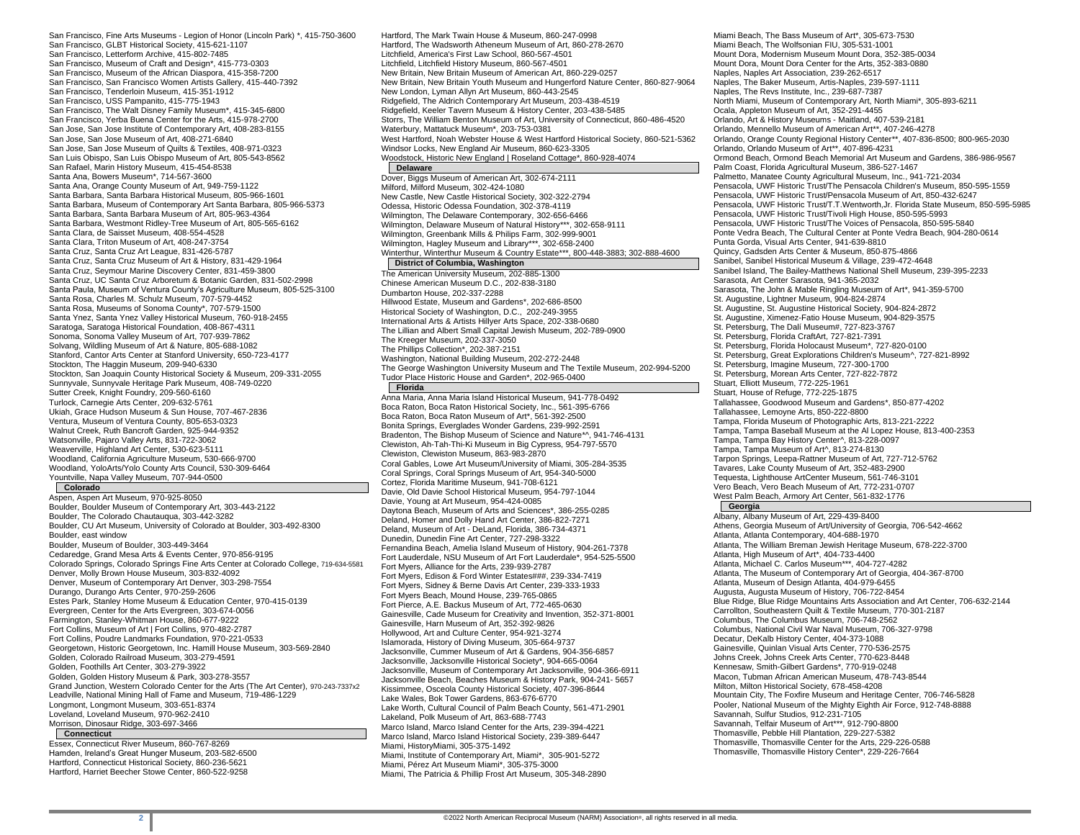San Francisco, Fine Arts Museums - Legion of Honor (Lincoln Park) \*, 415-750-3600 San Francisco, GLBT Historical Society, 415-621-1107 San Francisco, Letterform Archive, 415-802-7485 San Francisco, Museum of Craft and Design\*, 415-773-0303 San Francisco, Museum of the African Diaspora, 415-358-7200 San Francisco, San Francisco Women Artists Gallery, 415-440-7392 San Francisco, Tenderloin Museum, 415-351-1912 San Francisco, USS Pampanito, 415-775-1943 San Francisco, The Walt Disney Family Museum\*, 415-345-6800 San Francisco, Yerba Buena Center for the Arts, 415-978-2700 San Jose, San Jose Institute of Contemporary Art, 408-283-8155 San Jose, San Jose Museum of Art, 408-271-6840 San Jose, San Jose Museum of Quilts & Textiles, 408-971-0323 San Luis Obispo, San Luis Obispo Museum of Art, 805-543-8562 San Rafael, Marin History Museum, 415-454-8538 Santa Ana, Bowers Museum\*, 714-567-3600 Santa Ana, Orange County Museum of Art, 949-759-1122 Santa Barbara, Santa Barbara Historical Museum, 805-966-1601 Santa Barbara, Museum of Contemporary Art Santa Barbara, 805-966-5373 Santa Barbara, Santa Barbara Museum of Art, 805-963-4364 Santa Barbara, Westmont Ridley-Tree Museum of Art, 805-565-6162 Santa Clara, de Saisset Museum, 408-554-4528 Santa Clara, Triton Museum of Art, 408-247-3754 Santa Cruz, Santa Cruz Art League, 831-426-5787 Santa Cruz, Santa Cruz Museum of Art & History, 831-429-1964 Santa Cruz, Seymour Marine Discovery Center, 831-459-3800 Santa Cruz, UC Santa Cruz Arboretum & Botanic Garden, 831-502-2998 Santa Paula, Museum of Ventura County's Agriculture Museum, 805-525-3100 Santa Rosa, Charles M. Schulz Museum, 707-579-4452 Santa Rosa, Museums of Sonoma County\*, 707-579-1500 Santa Ynez, Santa Ynez Valley Historical Museum, 760-918-2455 Saratoga, Saratoga Historical Foundation, 408-867-4311 Sonoma, Sonoma Valley Museum of Art, 707-939-7862 Solvang, Wildling Museum of Art & Nature, 805-688-1082 Stanford, Cantor Arts Center at Stanford University, 650-723-4177 Stockton, The Haggin Museum, 209-940-6330 Stockton, San Joaquin County Historical Society & Museum, 209-331-2055 Sunnyvale, Sunnyvale Heritage Park Museum, 408-749-0220 Sutter Creek, Knight Foundry, 209-560-6160 Turlock, Carnegie Arts Center, 209-632-5761 Ukiah, Grace Hudson Museum & Sun House, 707-467-2836 Ventura, Museum of Ventura County, 805-653-0323 Walnut Creek, Ruth Bancroft Garden, 925-944-9352 Watsonville, Pajaro Valley Arts, 831-722-3062 Weaverville, Highland Art Center, 530-623-5111 Woodland, California Agriculture Museum, 530-666-9700 Woodland, YoloArts/Yolo County Arts Council, 530-309-6464 Yountville, Napa Valley Museum, 707-944-0500

# **Colorado**

Aspen, Aspen Art Museum, 970-925-8050 Boulder, Boulder Museum of Contemporary Art, 303-443-2122 Boulder, The Colorado Chautauqua, 303-442-3282 Boulder, CU Art Museum, University of Colorado at Boulder, 303-492-8300 Boulder, east window Boulder, Museum of Boulder, 303-449-3464 Cedaredge, Grand Mesa Arts & Events Center, 970-856-9195 Colorado Springs, Colorado Springs Fine Arts Center at Colorado College, 719-634-5581 Denver, Molly Brown House Museum, 303-832-4092 Denver, Museum of Contemporary Art Denver, 303-298-7554 Durango, Durango Arts Center, 970-259-2606 Estes Park, Stanley Home Museum & Education Center, 970-415-0139 Evergreen, Center for the Arts Evergreen, 303-674-0056 Farmington, Stanley-Whitman House, 860-677-9222 Fort Collins, Museum of Art | Fort Collins, 970-482-2787 Fort Collins, Poudre Landmarks Foundation, 970-221-0533 Georgetown, Historic Georgetown, Inc. Hamill House Museum, 303-569-2840 Golden, Colorado Railroad Museum, 303-279-4591 Golden, Foothills Art Center, 303-279-3922 Golden, Golden History Museum & Park, 303-278-3557 Grand Junction, Western Colorado Center for the Arts (The Art Center), 970-243-7337x2 Leadville, National Mining Hall of Fame and Museum, 719-486-1229 Longmont, Longmont Museum, 303-651-8374 Loveland, Loveland Museum, 970-962-2410 Morrison, Dinosaur Ridge, 303-697-3466 **Connecticut**

Essex, Connecticut River Museum, 860-767-8269 Hamden, Ireland's Great Hunger Museum, 203-582-6500 Hartford, Connecticut Historical Society, 860-236-5621 Hartford, Harriet Beecher Stowe Center, 860-522-9258

Hartford, The Mark Twain House & Museum, 860-247-0998 Hartford, The Wadsworth Atheneum Museum of Art, 860-278-2670 Litchfield, America's First Law School, 860-567-4501 Litchfield, Litchfield History Museum, 860-567-4501 New Britain, New Britain Museum of American Art, 860-229-0257 New Britain, New Britain Youth Museum and Hungerford Nature Center, 860-827-9064 New London, Lyman Allyn Art Museum, 860-443-2545 Ridgefield, The Aldrich Contemporary Art Museum, 203-438-4519 Ridgefield, Keeler Tavern Museum & History Center, 203-438-5485 Storrs, The William Benton Museum of Art, University of Connecticut, 860-486-4520 Waterbury, Mattatuck Museum\*, 203-753-0381 West Hartford, Noah Webster House & West Hartford Historical Society, 860-521-5362 Windsor Locks, New England Air Museum, 860-623-3305 Woodstock, Historic New England | Roseland Cottage\*, 860-928-4074 **Delaware** Dover, Biggs Museum of American Art, 302-674-2111 Milford, Milford Museum, 302-424-1080 New Castle, New Castle Historical Society, 302-322-2794 Odessa, Historic Odessa Foundation, 302-378-4119 Wilmington, The Delaware Contemporary, 302-656-6466 Wilmington, Delaware Museum of Natural History\*\*\*, 302-658-9111 Wilmington, Greenbank Mills & Philips Farm, 302-999-9001 Wilmington, Hagley Museum and Library\*\*\*, 302-658-2400 Winterthur, Winterthur Museum & Country Estate\*\*\*, 800-448-3883; 302-888-4600 **District of Columbia, Washington** The American University Museum, 202-885-1300 Chinese American Museum D.C., 202-838-3180 Dumbarton House, 202-337-2288 Hillwood Estate, Museum and Gardens\*, 202-686-8500 Historical Society of Washington, D.C., 202-249-3955 International Arts & Artists Hillyer Arts Space, 202-338-0680 The Lillian and Albert Small Capital Jewish Museum, 202-789-0900 The Kreeger Museum, 202-337-3050 The Phillips Collection\*, 202-387-2151 Washington, National Building Museum, 202-272-2448 The George Washington University Museum and The Textile Museum, 202-994-5200

Tudor Place Historic House and Garden\*, 202-965-0400 **Florida** Anna Maria, Anna Maria Island Historical Museum, 941-778-0492 Boca Raton, Boca Raton Historical Society, Inc., 561-395-6766 Boca Raton, Boca Raton Museum of Art\*, 561-392-2500 Bonita Springs, Everglades Wonder Gardens, 239-992-2591 Bradenton, The Bishop Museum of Science and Nature\*^, 941-746-4131 Clewiston, Ah-Tah-Thi-Ki Museum in Big Cypress, 954-797-5570 Clewiston, Clewiston Museum, 863-983-2870 Coral Gables, Lowe Art Museum/University of Miami, 305-284-3535 Coral Springs, Coral Springs Museum of Art, 954-340-5000 Cortez, Florida Maritime Museum, 941-708-6121 Davie, Old Davie School Historical Museum, 954-797-1044 Davie, Young at Art Museum, 954-424-0085 Daytona Beach, Museum of Arts and Sciences\*, 386-255-0285 Deland, Homer and Dolly Hand Art Center, 386-822-7271 Deland, Museum of Art - DeLand, Florida, 386-734-4371 Dunedin, Dunedin Fine Art Center, 727-298-3322 Fernandina Beach, Amelia Island Museum of History, 904-261-7378 Fort Lauderdale, NSU Museum of Art Fort Lauderdale\*, 954-525-5500 Fort Myers, Alliance for the Arts, 239-939-2787 Fort Myers, Edison & Ford Winter Estates###, 239-334-7419 Fort Myers, Sidney & Berne Davis Art Center, 239-333-1933 Fort Myers Beach, Mound House, 239-765-0865 Fort Pierce, A.E. Backus Museum of Art, 772-465-0630 Gainesville, Cade Museum for Creativity and Invention, 352-371-8001 Gainesville, Harn Museum of Art, 352-392-9826 Hollywood, Art and Culture Center, 954-921-3274 Islamorada, History of Diving Museum, 305-664-9737 Jacksonville, Cummer Museum of Art & Gardens, 904-356-6857 Jacksonville, Jacksonville Historical Society\*, 904-665-0064 Jacksonville, Museum of Contemporary Art Jacksonville, 904-366-6911 Jacksonville Beach, Beaches Museum & History Park, 904-241- 5657 Kissimmee, Osceola County Historical Society, 407-396-8644 Lake Wales, Bok Tower Gardens, 863-676-6770 Lake Worth, Cultural Council of Palm Beach County, 561-471-2901 Lakeland, Polk Museum of Art, 863-688-7743 Marco Island, Marco Island Center for the Arts, 239-394-4221 Marco Island, Marco Island Historical Society, 239-389-6447 Miami, HistoryMiami, 305-375-1492 Miami, Institute of Contemporary Art, Miami\*, 305-901-5272 Miami, Pérez Art Museum Miami\*, 305-375-3000 Miami, The Patricia & Phillip Frost Art Museum, 305-348-2890

Miami Beach, The Bass Museum of Art\*, 305-673-7530 Miami Beach, The Wolfsonian FIU, 305-531-1001 Mount Dora, Modernism Museum Mount Dora, 352-385-0034 Mount Dora, Mount Dora Center for the Arts, 352-383-0880 Naples, Naples Art Association, 239-262-6517 Naples, The Baker Museum, Artis-Naples, 239-597-1111 Naples, The Revs Institute, Inc., 239-687-7387 North Miami, Museum of Contemporary Art, North Miami\*, 305-893-6211 Ocala, Appleton Museum of Art, 352-291-4455 Orlando, Art & History Museums - Maitland, 407-539-2181 Orlando, Mennello Museum of American Art\*\*, 407-246-4278 Orlando, Orange County Regional History Center\*\*, 407-836-8500; 800-965-2030 Orlando, Orlando Museum of Art\*\*, 407-896-4231 Ormond Beach, Ormond Beach Memorial Art Museum and Gardens, 386-986-9567 Palm Coast, Florida Agricultural Museum, 386-527-1467 Palmetto, Manatee County Agricultural Museum, Inc., 941-721-2034 Pensacola, UWF Historic Trust/The Pensacola Children's Museum, 850-595-1559 Pensacola, UWF Historic Trust/Pensacola Museum of Art, 850-432-6247 Pensacola, UWF Historic Trust/T.T.Wentworth,Jr. Florida State Museum, 850-595-5985 Pensacola, UWF Historic Trust/Tivoli High House, 850-595-5993 Pensacola, UWF Historic Trust/The Voices of Pensacola, 850-595-5840 Ponte Vedra Beach, The Cultural Center at Ponte Vedra Beach, 904-280-0614 Punta Gorda, Visual Arts Center, 941-639-8810 Quincy, Gadsden Arts Center & Museum, 850-875-4866 Sanibel, Sanibel Historical Museum & Village, 239-472-4648 Sanibel Island, The Bailey-Matthews National Shell Museum, 239-395-2233 Sarasota, Art Center Sarasota, 941-365-2032 Sarasota, The John & Mable Ringling Museum of Art\*, 941-359-5700 St. Augustine, Lightner Museum, 904-824-2874 St. Augustine, St. Augustine Historical Society, 904-824-2872 St. Augustine, Ximenez-Fatio House Museum, 904-829-3575 St. Petersburg, The Dalí Museum#, 727-823-3767 St. Petersburg, Florida CraftArt, 727-821-7391 St. Petersburg, Florida Holocaust Museum\*, 727-820-0100 St. Petersburg, Great Explorations Children's Museum^, 727-821-8992 St. Petersburg, Imagine Museum, 727-300-1700 St. Petersburg, Morean Arts Center, 727-822-7872 Stuart, Elliott Museum, 772-225-1961 Stuart, House of Refuge, 772-225-1875 Tallahassee, Goodwood Museum and Gardens\*, 850-877-4202 Tallahassee, Lemoyne Arts, 850-222-8800 Tampa, Florida Museum of Photographic Arts, 813-221-2222 Tampa, Tampa Baseball Museum at the Al Lopez House, 813-400-2353 Tampa, Tampa Bay History Center^, 813-228-0097 Tampa, Tampa Museum of Art^, 813-274-8130 Tarpon Springs, Leepa-Rattner Museum of Art, 727-712-5762 Tavares, Lake County Museum of Art, 352-483-2900 Tequesta, Lighthouse ArtCenter Museum, 561-746-3101 Vero Beach, Vero Beach Museum of Art, 772-231-0707 West Palm Beach, Armory Art Center, 561-832-1776 **Georgia**

Albany, Albany Museum of Art, 229-439-8400 Athens, Georgia Museum of Art/University of Georgia, 706-542-4662 Atlanta, Atlanta Contemporary, 404-688-1970 Atlanta, The William Breman Jewish Heritage Museum, 678-222-3700 Atlanta, High Museum of Art\*, 404-733-4400 Atlanta, Michael C. Carlos Museum\*\*\*, 404-727-4282 Atlanta, The Museum of Contemporary Art of Georgia, 404-367-8700 Atlanta, Museum of Design Atlanta, 404-979-6455 Augusta, Augusta Museum of History, 706-722-8454 Blue Ridge, Blue Ridge Mountains Arts Association and Art Center, 706-632-2144 Carrollton, Southeastern Quilt & Textile Museum, 770-301-2187 Columbus, The Columbus Museum, 706-748-2562 Columbus, National Civil War Naval Museum, 706-327-9798 Decatur, DeKalb History Center, 404-373-1088 Gainesville, Quinlan Visual Arts Center, 770-536-2575 Johns Creek, Johns Creek Arts Center, 770-623-8448 Kennesaw, Smith-Gilbert Gardens\*, 770-919-0248 Macon, Tubman African American Museum, 478-743-8544 Milton, Milton Historical Society, 678-458-4208 Mountain City, The Foxfire Museum and Heritage Center, 706-746-5828 Pooler, National Museum of the Mighty Eighth Air Force, 912-748-8888 Savannah, Sulfur Studios, 912-231-7105 Savannah, Telfair Museum of Art\*\*\*, 912-790-8800 Thomasville, Pebble Hill Plantation, 229-227-5382 Thomasville, Thomasville Center for the Arts, 229-226-0588 Thomasville, Thomasville History Center\*, 229-226-7664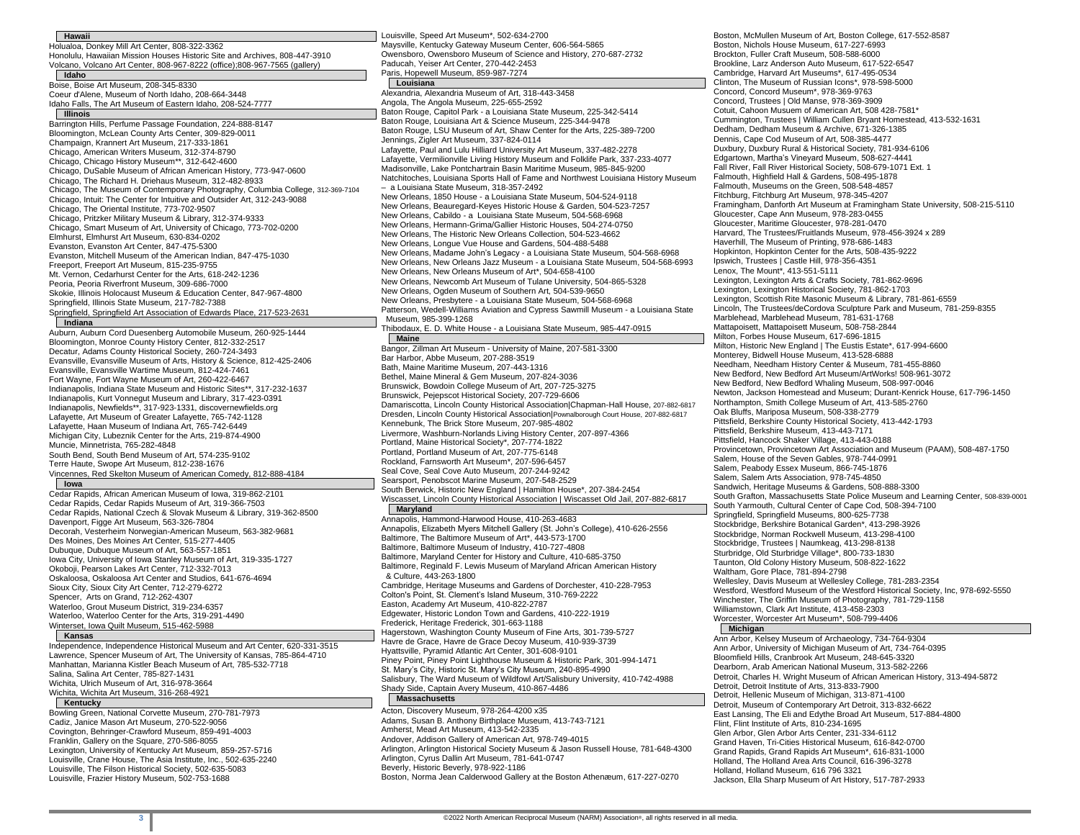| <b>Hawaii</b>                                                                                      | Louisville, Speed Art Museum*, 502-634-2700                                                                                                     |
|----------------------------------------------------------------------------------------------------|-------------------------------------------------------------------------------------------------------------------------------------------------|
| Holualoa, Donkey Mill Art Center, 808-322-3362                                                     | Maysville, Kentucky Gateway Museum Center, 606-564-5865                                                                                         |
| Honolulu, Hawaiian Mission Houses Historic Site and Archives, 808-447-3910                         | Owensboro, Owensboro Museum of Science and History, 270-687-2732                                                                                |
| Volcano, Volcano Art Center, 808-967-8222 (office);808-967-7565 (gallery)                          | Paducah, Yeiser Art Center, 270-442-2453                                                                                                        |
| Idaho                                                                                              | Paris, Hopewell Museum, 859-987-7274                                                                                                            |
| Boise, Boise Art Museum, 208-345-8330                                                              | Louisiana                                                                                                                                       |
| Coeur d'Alene, Museum of North Idaho, 208-664-3448                                                 | Alexandria, Alexandria Museum of Art, 318-443-3458                                                                                              |
| Idaho Falls, The Art Museum of Eastern Idaho, 208-524-7777                                         | Angola, The Angola Museum, 225-655-2592                                                                                                         |
| Illinois                                                                                           | Baton Rouge, Capitol Park - a Louisiana State Museum, 225-342-5414                                                                              |
| Barrington Hills, Perfume Passage Foundation, 224-888-8147                                         | Baton Rouge, Louisiana Art & Science Museum, 225-344-9478                                                                                       |
| Bloomington, McLean County Arts Center, 309-829-0011                                               | Baton Rouge, LSU Museum of Art, Shaw Center for the Arts, 225-389-7200                                                                          |
| Champaign, Krannert Art Museum, 217-333-1861                                                       | Jennings, Zigler Art Museum, 337-824-0114                                                                                                       |
| Chicago, American Writers Museum, 312-374-8790                                                     | Lafayette, Paul and Lulu Hilliard University Art Museum, 337-482-2278                                                                           |
| Chicago, Chicago History Museum**, 312-642-4600                                                    | Lafayette, Vermilionville Living History Museum and Folklife Park, 337-233-4077                                                                 |
| Chicago, DuSable Museum of African American History, 773-947-0600                                  | Madisonville, Lake Pontchartrain Basin Maritime Museum, 985-845-9200                                                                            |
| Chicago, The Richard H. Driehaus Museum, 312-482-8933                                              | Natchitoches, Louisiana Sports Hall of Fame and Northwest Louisiana History Museum                                                              |
| Chicago, The Museum of Contemporary Photography, Columbia College, 312-369-7104                    | - a Louisiana State Museum, 318-357-2492                                                                                                        |
| Chicago, Intuit: The Center for Intuitive and Outsider Art, 312-243-9088                           | New Orleans, 1850 House - a Louisiana State Museum, 504-524-9118                                                                                |
| Chicago, The Oriental Institute, 773-702-9507                                                      | New Orleans, Beauregard-Keyes Historic House & Garden, 504-523-7257                                                                             |
| Chicago, Pritzker Military Museum & Library, 312-374-9333                                          | New Orleans, Cabildo - a Louisiana State Museum, 504-568-6968                                                                                   |
| Chicago, Smart Museum of Art, University of Chicago, 773-702-0200                                  | New Orleans, Hermann-Grima/Gallier Historic Houses, 504-274-0750                                                                                |
| Elmhurst, Elmhurst Art Museum, 630-834-0202                                                        | New Orleans, The Historic New Orleans Collection, 504-523-4662                                                                                  |
| Evanston, Evanston Art Center, 847-475-5300                                                        | New Orleans, Longue Vue House and Gardens, 504-488-5488                                                                                         |
| Evanston, Mitchell Museum of the American Indian, 847-475-1030                                     | New Orleans, Madame John's Legacy - a Louisiana State Museum, 504-568-6968                                                                      |
| Freeport, Freeport Art Museum, 815-235-9755                                                        | New Orleans, New Orleans Jazz Museum - a Louisiana State Museum, 504-568-6993                                                                   |
| Mt. Vernon, Cedarhurst Center for the Arts, 618-242-1236                                           | New Orleans, New Orleans Museum of Art*, 504-658-4100                                                                                           |
| Peoria, Peoria Riverfront Museum, 309-686-7000                                                     | New Orleans, Newcomb Art Museum of Tulane University, 504-865-5328                                                                              |
| Skokie, Illinois Holocaust Museum & Education Center, 847-967-4800                                 | New Orleans, Ogden Museum of Southern Art, 504-539-9650                                                                                         |
| Springfield, Illinois State Museum, 217-782-7388                                                   | New Orleans, Presbytere - a Louisiana State Museum, 504-568-6968                                                                                |
| Springfield, Springfield Art Association of Edwards Place, 217-523-2631                            | Patterson, Wedell-Williams Aviation and Cypress Sawmill Museum - a Louisiana State                                                              |
| Indiana                                                                                            | Museum, 985-399-1268                                                                                                                            |
| Auburn, Auburn Cord Duesenberg Automobile Museum, 260-925-1444                                     | Thibodaux, E. D. White House - a Louisiana State Museum, 985-447-0915                                                                           |
| Bloomington, Monroe County History Center, 812-332-2517                                            | <b>Maine</b>                                                                                                                                    |
| Decatur, Adams County Historical Society, 260-724-3493                                             | Bangor, Zillman Art Museum - University of Maine, 207-581-3300                                                                                  |
| Evansville, Evansville Museum of Arts, History & Science, 812-425-2406                             | Bar Harbor, Abbe Museum, 207-288-3519                                                                                                           |
| Evansville, Evansville Wartime Museum, 812-424-7461                                                | Bath, Maine Maritime Museum, 207-443-1316                                                                                                       |
| Fort Wayne, Fort Wayne Museum of Art, 260-422-6467                                                 | Bethel, Maine Mineral & Gem Museum, 207-824-3036                                                                                                |
| Indianapolis, Indiana State Museum and Historic Sites**, 317-232-1637                              | Brunswick, Bowdoin College Museum of Art, 207-725-3275                                                                                          |
| Indianapolis, Kurt Vonnegut Museum and Library, 317-423-0391                                       | Brunswick, Pejepscot Historical Society, 207-729-6606                                                                                           |
| Indianapolis, Newfields**, 317-923-1331, discovernewfields.org                                     | Damariscotta, Lincoln County Historical Association Chapman-Hall House, 207-882-6817                                                            |
| Lafayette, Art Museum of Greater Lafayette, 765-742-1128                                           | Dresden, Lincoln County Historical Association   Pownalborough Court House, 207-882-6817                                                        |
| Lafayette, Haan Museum of Indiana Art, 765-742-6449                                                | Kennebunk, The Brick Store Museum, 207-985-4802                                                                                                 |
| Michigan City, Lubeznik Center for the Arts, 219-874-4900                                          | Livermore, Washburn-Norlands Living History Center, 207-897-4366                                                                                |
| Muncie, Minnetrista, 765-282-4848                                                                  | Portland, Maine Historical Society*, 207-774-1822                                                                                               |
| South Bend, South Bend Museum of Art, 574-235-9102                                                 | Portland, Portland Museum of Art, 207-775-6148                                                                                                  |
| Terre Haute, Swope Art Museum, 812-238-1676                                                        | Rockland, Farnsworth Art Museum*, 207-596-6457                                                                                                  |
| Vincennes, Red Skelton Museum of American Comedy, 812-888-4184                                     | Seal Cove, Seal Cove Auto Museum, 207-244-9242                                                                                                  |
| lowa                                                                                               | Searsport, Penobscot Marine Museum, 207-548-2529                                                                                                |
| Cedar Rapids, African American Museum of Iowa, 319-862-2101                                        | South Berwick, Historic New England   Hamilton House*, 207-384-2454                                                                             |
| Cedar Rapids, Cedar Rapids Museum of Art, 319-366-7503                                             | Wiscasset, Lincoln County Historical Association   Wiscasset Old Jail, 207-882-6817                                                             |
| Cedar Rapids, National Czech & Slovak Museum & Library, 319-362-8500                               | Maryland                                                                                                                                        |
| Davenport, Figge Art Museum, 563-326-7804                                                          | Annapolis, Hammond-Harwood House, 410-263-4683                                                                                                  |
| Decorah, Vesterheim Norwegian-American Museum, 563-382-9681                                        | Annapolis, Elizabeth Myers Mitchell Gallery (St. John's College), 410-626-2556                                                                  |
| Des Moines, Des Moines Art Center, 515-277-4405                                                    | Baltimore, The Baltimore Museum of Art*, 443-573-1700                                                                                           |
| Dubuque, Dubuque Museum of Art, 563-557-1851                                                       | Baltimore, Baltimore Museum of Industry, 410-727-4808                                                                                           |
| lowa City, University of Iowa Stanley Museum of Art, 319-335-1727                                  | Baltimore, Maryland Center for History and Culture, 410-685-3750                                                                                |
| Okoboji, Pearson Lakes Art Center, 712-332-7013                                                    | Baltimore, Reginald F. Lewis Museum of Maryland African American History                                                                        |
| Oskaloosa, Oskaloosa Art Center and Studios, 641-676-4694                                          | & Culture, 443-263-1800                                                                                                                         |
| Sioux City, Sioux City Art Center, 712-279-6272                                                    | Cambridge, Heritage Museums and Gardens of Dorchester, 410-228-7953                                                                             |
| Spencer, Arts on Grand, 712-262-4307                                                               | Colton's Point, St. Clement's Island Museum, 310-769-2222                                                                                       |
| Waterloo, Grout Museum District, 319-234-6357                                                      |                                                                                                                                                 |
|                                                                                                    | Easton, Academy Art Museum, 410-822-2787                                                                                                        |
|                                                                                                    | Edgewater, Historic London Town and Gardens, 410-222-1919                                                                                       |
| Waterloo, Waterloo Center for the Arts, 319-291-4490<br>Winterset, Iowa Quilt Museum, 515-462-5988 | Frederick, Heritage Frederick, 301-663-1188                                                                                                     |
| Kansas                                                                                             | Hagerstown, Washington County Museum of Fine Arts, 301-739-5727                                                                                 |
| Independence, Independence Historical Museum and Art Center, 620-331-3515                          | Havre de Grace, Havre de Grace Decoy Museum, 410-939-3739                                                                                       |
| Lawrence, Spencer Museum of Art, The University of Kansas, 785-864-4710                            | Hyattsville, Pyramid Atlantic Art Center, 301-608-9101                                                                                          |
| Manhattan, Marianna Kistler Beach Museum of Art, 785-532-7718                                      | Piney Point, Piney Point Lighthouse Museum & Historic Park, 301-994-1471                                                                        |
| Salina, Salina Art Center, 785-827-1431<br>Wichita, Ulrich Museum of Art, 316-978-3664             | St. Mary's City, Historic St. Mary's City Museum, 240-895-4990<br>Salisbury, The Ward Museum of Wildfowl Art/Salisbury University, 410-742-4988 |

#### Wichita, Wichita Art Museum, 316-268-4921 **Kentucky**

Bowling Green, National Corvette Museum, 270-781-7973 Cadiz, Janice Mason Art Museum, 270-522-9056 Covington, Behringer-Crawford Museum, 859-491-4003 Franklin, Gallery on the Square, 270-586-8055 Lexington, University of Kentucky Art Museum, 859-257-5716 Louisville, Crane House, The Asia Institute, Inc., 502-635-2240 Louisville, The Filson Historical Society, 502-635-5083 Louisville, Frazier History Museum, 502-753-1688

Frederick, Heritage Frederick, 301-663-1188 of Fine Arts, 301-739-5727  $h$ useum, 410-939-3739  $1-608-9101$ um & Historic Park, 301-994-1471 seum, 240-895-4990 Art/Salisbury University, 410-742-4988 Shady Side, Captain Avery Museum, 410-867-4486 **Massachusetts** Acton, Discovery Museum, 978-264-4200 x35 Adams, Susan B. Anthony Birthplace Museum, 413-743-7121 Amherst, Mead Art Museum, 413-542-2335 Andover, Addison Gallery of American Art, 978-749-4015 Arlington, Arlington Historical Society Museum & Jason Russell House, 781-648-4300 Arlington, Cyrus Dallin Art Museum, 781-641-0747 Beverly, Historic Beverly, 978-922-1186

Boston, Norma Jean Calderwood Gallery at the Boston Athenæum, 617-227-0270

Boston, McMullen Museum of Art, Boston College, 617-552-8587 Boston, Nichols House Museum, 617-227-6993 Brockton, Fuller Craft Museum, 508-588-6000 Brookline, Larz Anderson Auto Museum, 617-522-6547 Cambridge, Harvard Art Museums\*, 617-495-0534 Clinton, The Museum of Russian Icons\*, 978-598-5000 Concord, Concord Museum\*, 978-369-9763 Concord, Trustees | Old Manse, 978-369-3909 Cotuit, Cahoon Musuem of American Art, 508 428-7581\* Cummington, Trustees | William Cullen Bryant Homestead, 413-532-1631 Dedham, Dedham Museum & Archive, 671-326-1385 Dennis, Cape Cod Museum of Art, 508-385-4477 Duxbury, Duxbury Rural & Historical Society, 781-934-6106 Edgartown, Martha's Vineyard Museum, 508-627-4441 Fall River, Fall River Historical Society, 508-679-1071 Ext. 1 Falmouth, Highfield Hall & Gardens, 508-495-1878 Falmouth, Museums on the Green, 508-548-4857 Fitchburg, Fitchburg Art Museum, 978-345-4207 Framingham, Danforth Art Museum at Framingham State University, 508-215-5110 Gloucester, Cape Ann Museum, 978-283-0455 Gloucester, Maritime Gloucester, 978-281-0470 Harvard, The Trustees/Fruitlands Museum, 978-456-3924 x 289 Haverhill, The Museum of Printing, 978-686-1483 Hopkinton, Hopkinton Center for the Arts, 508-435-9222 Ipswich, Trustees | Castle Hill, 978-356-4351 Lenox, The Mount\*, 413-551-5111 Lexington, Lexington Arts & Crafts Society, 781-862-9696 Lexington, Lexington Historical Society, 781-862-1703 Lexington, Scottish Rite Masonic Museum & Library, 781-861-6559 Lincoln, The Trustees/deCordova Sculpture Park and Museum, 781-259-8355 Marblehead, Marblehead Museum, 781-631-1768 Mattapoisett, Mattapoisett Museum, 508-758-2844 Milton, Forbes House Museum, 617-696-1815 Milton, Historic New England | The Eustis Estate\*, 617-994-6600 Monterey, Bidwell House Museum, 413-528-6888 Needham, Needham History Center & Museum, 781-455-8860 New Bedford, New Bedford Art Museum/ArtWorks! 508-961-3072 New Bedford, New Bedford Whaling Museum, 508-997-0046 Newton, Jackson Homestead and Museum; Durant-Kenrick House, 617-796-1450 Northampton, Smith College Museum of Art, 413-585-2760 Oak Bluffs, Mariposa Museum, 508-338-2779 Pittsfield, Berkshire County Historical Society, 413-442-1793 Pittsfield, Berkshire Museum, 413-443-7171 Pittsfield, Hancock Shaker Village, 413-443-0188 Provincetown, Provincetown Art Association and Museum (PAAM), 508-487-1750 Salem, House of the Seven Gables, 978-744-0991 Salem, Peabody Essex Museum, 866-745-1876 Salem, Salem Arts Association, 978-745-4850 Sandwich, Heritage Museums & Gardens, 508-888-3300 South Grafton, Massachusetts State Police Museum and Learning Center, 508-839-0001 South Yarmouth, Cultural Center of Cape Cod, 508-394-7100 Springfield, Springfield Museums, 800-625-7738 Stockbridge, Berkshire Botanical Garden\*, 413-298-3926 Stockbridge, Norman Rockwell Museum, 413-298-4100 Stockbridge, Trustees | Naumkeag, 413-298-8138 Sturbridge, Old Sturbridge Village\*, 800-733-1830 Taunton, Old Colony History Museum, 508-822-1622 Waltham, Gore Place, 781-894-2798 Wellesley, Davis Museum at Wellesley College, 781-283-2354 Westford, Westford Museum of the Westford Historical Society, Inc, 978-692-5550 Winchester, The Griffin Museum of Photography, 781-729-1158 Williamstown, Clark Art Institute, 413-458-2303 Worcester, Worcester Art Museum\*, 508-799-4406

#### **Michigan**

Ann Arbor, Kelsey Museum of Archaeology, 734-764-9304 Ann Arbor, University of Michigan Museum of Art, 734-764-0395 Bloomfield Hills, Cranbrook Art Museum, 248-645-3320 Dearborn, Arab American National Museum, 313-582-2266 Detroit, Charles H. Wright Museum of African American History, 313-494-5872 Detroit, Detroit Institute of Arts, 313-833-7900 Detroit, Hellenic Museum of Michigan, 313-871-4100 Detroit, Museum of Contemporary Art Detroit, 313-832-6622 East Lansing, The Eli and Edythe Broad Art Museum, 517-884-4800 Flint, Flint Institute of Arts, 810-234-1695 Glen Arbor, Glen Arbor Arts Center, 231-334-6112 Grand Haven, Tri-Cities Historical Museum, 616-842-0700 Grand Rapids, Grand Rapids Art Museum\*, 616-831-1000 Holland, The Holland Area Arts Council, 616-396-3278 Holland, Holland Museum, 616 796 3321 Jackson, Ella Sharp Museum of Art History, 517-787-2933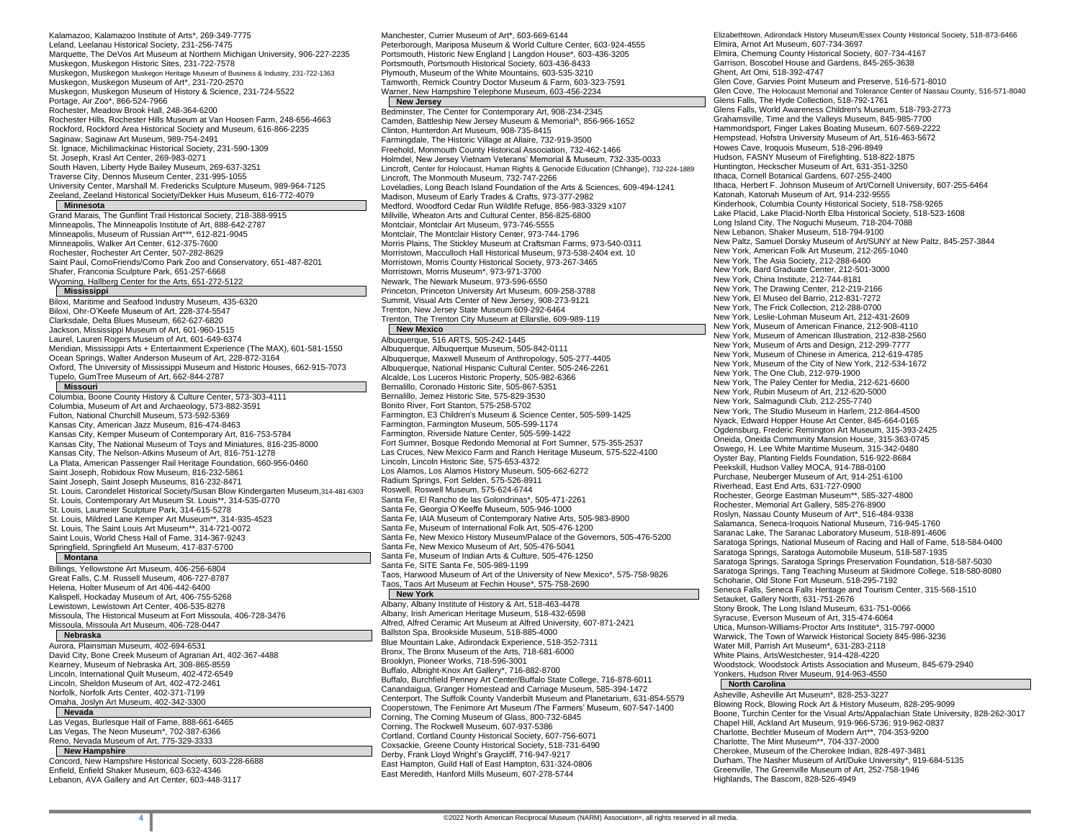Kalamazoo, Kalamazoo Institute of Arts\*, 269-349-7775 Leland, Leelanau Historical Society, 231-256-7475 Marquette, The DeVos Art Museum at Northern Michigan University, 906-227-2235 Muskegon, Muskegon Historic Sites, 231-722-7578 Muskegon, Muskegon Muskegon Heritage Museum of Business & Industry, 231-722-1363 Muskegon, Muskegon Museum of Art\*, 231-720-2570 Muskegon, Muskegon Museum of History & Science, 231-724-5522 Portage, Air Zoo\*, 866-524-7966 Rochester, Meadow Brook Hall, 248-364-6200 Rochester Hills, Rochester Hills Museum at Van Hoosen Farm, 248-656-4663 Rockford, Rockford Area Historical Society and Museum, 616-866-2235 Saginaw, Saginaw Art Museum, 989-754-2491 St. Ignace, Michilimackinac Historical Society, 231-590-1309 St. Joseph, Krasl Art Center, 269-983-0271 South Haven, Liberty Hyde Bailey Museum, 269-637-3251 Traverse City, Dennos Museum Center, 231-995-1055 University Center, Marshall M. Fredericks Sculpture Museum, 989-964-7125 Zeeland, Zeeland Historical Society/Dekker Huis Museum, 616-772-4079

### **Minnesota**

Grand Marais, The Gunflint Trail Historical Society, 218-388-9915 Minneapolis, The Minneapolis Institute of Art, 888-642-2787 Minneapolis, Museum of Russian Art\*\*\*, 612-821-9045 Minneapolis, Walker Art Center, 612-375-7600 Rochester, Rochester Art Center, 507-282-8629 Saint Paul, ComoFriends/Como Park Zoo and Conservatory, 651-487-8201 Shafer, Franconia Sculpture Park, 651-257-6668 Wyoming, Hallberg Center for the Arts, 651-272-5122

### **Mississippi**

Biloxi, Maritime and Seafood Industry Museum, 435-6320 Biloxi, Ohr-O'Keefe Museum of Art, 228-374-5547 Clarksdale, Delta Blues Museum, 662-627-6820 Jackson, Mississippi Museum of Art, 601-960-1515 Laurel, Lauren Rogers Museum of Art, 601-649-6374 Meridian, Mississippi Arts + Entertainment Experience (The MAX), 601-581-1550 Ocean Springs, Walter Anderson Museum of Art, 228-872-3164 Oxford, The University of Mississippi Museum and Historic Houses, 662-915-7073 Tupelo, GumTree Museum of Art, 662-844-2787

#### **Missouri**

Columbia, Boone County History & Culture Center, 573-303-4111 Columbia, Museum of Art and Archaeology, 573-882-3591 Fulton, National Churchill Museum, 573-592-5369 Kansas City, American Jazz Museum, 816-474-8463 Kansas City, Kemper Museum of Contemporary Art, 816-753-5784 Kansas City, The National Museum of Toys and Miniatures, 816-235-8000 Kansas City, The Nelson-Atkins Museum of Art, 816-751-1278 La Plata, American Passenger Rail Heritage Foundation, 660-956-0460 Saint Joseph, Robidoux Row Museum, 816-232-5861 Saint Joseph, Saint Joseph Museums, 816-232-8471 St. Louis, Carondelet Historical Society/Susan Blow Kindergarten Museum,314-481-6303 St. Louis, Contemporary Art Museum St. Louis\*\*, 314-535-0770 St. Louis, Laumeier Sculpture Park, 314-615-5278 St. Louis, Mildred Lane Kemper Art Museum\*\*, 314-935-4523 St. Louis, The Saint Louis Art Museum\*\*, 314-721-0072 Saint Louis, World Chess Hall of Fame, 314-367-9243 Springfield, Springfield Art Museum, 417-837-5700

# **Montana**

Billings, Yellowstone Art Museum, 406-256-6804 Great Falls, C.M. Russell Museum, 406-727-8787 Helena, Holter Museum of Art 406-442-6400 Kalispell, Hockaday Museum of Art, 406-755-5268 Lewistown, Lewistown Art Center, 406-535-8278 Missoula, The Historical Museum at Fort Missoula, 406-728-3476 Missoula, Missoula Art Museum, 406-728-0447

## **Nebraska**

Aurora, Plainsman Museum, 402-694-6531 David City, Bone Creek Museum of Agrarian Art, 402-367-4488 Kearney, Museum of Nebraska Art, 308-865-8559 Lincoln, International Quilt Museum, 402-472-6549 Lincoln, Sheldon Museum of Art, 402-472-2461 Norfolk, Norfolk Arts Center, 402-371-7199 Omaha, Joslyn Art Museum, 402-342-3300

## **Nevada**

Las Vegas, Burlesque Hall of Fame, 888-661-6465 Las Vegas, The Neon Museum\*, 702-387-6366 Reno, Nevada Museum of Art, 775-329-3333

#### **New Hampshire**

Concord, New Hampshire Historical Society, 603-228-6688 Enfield, Enfield Shaker Museum, 603-632-4346 Lebanon, AVA Gallery and Art Center, 603-448-3117

Manchester, Currier Museum of Art\*, 603-669-6144 Peterborough, Mariposa Museum & World Culture Center, 603-924-4555 Portsmouth, Historic New England | Langdon House\*, 603-436-3205 Portsmouth, Portsmouth Historical Society, 603-436-8433 Plymouth, Museum of the White Mountains, 603-535-3210 Tamworth, Remick Country Doctor Museum & Farm, 603-323-7591 Warner, New Hampshire Telephone Museum, 603-456-2234

# **New Jersey**

Bedminster, The Center for Contemporary Art, 908-234-2345 Camden, Battleship New Jersey Museum & Memorial^, 856-966-1652 Clinton, Hunterdon Art Museum, 908-735-8415 Farmingdale, The Historic Village at Allaire, 732-919-3500 Freehold, Monmouth County Historical Association, 732-462-1466 Holmdel, New Jersey Vietnam Veterans' Memorial & Museum, 732-335-0033 Lincroft, Center for Holocaust, Human Rights & Genocide Education (Chhange), 732-224-1889 Lincroft, The Monmouth Museum, 732-747-2266 Loveladies, Long Beach Island Foundation of the Arts & Sciences, 609-494-1241 Madison, Museum of Early Trades & Crafts, 973-377-2982 Medford, Woodford Cedar Run Wildlife Refuge, 856-983-3329 x107 Millville, Wheaton Arts and Cultural Center, 856-825-6800 Montclair, Montclair Art Museum, 973-746-5555 Montclair, The Montclair History Center, 973-744-1796 Morris Plains, The Stickley Museum at Craftsman Farms, 973-540-0311 Morristown, Macculloch Hall Historical Museum, 973-538-2404 ext. 10 Morristown, Morris County Historical Society, 973-267-3465 Morristown, Morris Museum\*, 973-971-3700 Newark, The Newark Museum, 973-596-6550 Princeton, Princeton University Art Museum, 609-258-3788 Summit, Visual Arts Center of New Jersey, 908-273-9121 Trenton, New Jersey State Museum 609-292-6464 Trenton, The Trenton City Museum at Ellarslie, 609-989-119 **New Mexico**

# Albuquerque, 516 ARTS, 505-242-1445

Albuquerque, Albuquerque Museum, 505-842-0111 Albuquerque, Maxwell Museum of Anthropology, 505-277-4405 Albuquerque, National Hispanic Cultural Center, 505-246-2261 Alcalde, Los Luceros Historic Property, 505-982-6366 Bernalillo, Coronado Historic Site, 505-867-5351 Bernalillo, Jemez Historic Site, 575-829-3530 Bonito River, Fort Stanton, 575-258-5702 Farmington, E3 Children's Museum & Science Center, 505-599-1425 Farmington, Farmington Museum, 505-599-1174 Farmington, Riverside Nature Center, 505-599-1422 Fort Sumner, Bosque Redondo Memorial at Fort Sumner, 575-355-2537 Las Cruces, New Mexico Farm and Ranch Heritage Museum, 575-522-4100 Lincoln, Lincoln Historic Site, 575-653-4372 Los Alamos, Los Alamos History Museum, 505-662-6272 Radium Springs, Fort Selden, 575-526-8911 Roswell, Roswell Museum, 575-624-6744 Santa Fe, El Rancho de las Golondrinas\*, 505-471-2261 Santa Fe, Georgia O'Keeffe Museum, 505-946-1000 Santa Fe, IAIA Museum of Contemporary Native Arts, 505-983-8900 Santa Fe, Museum of International Folk Art, 505-476-1200 Santa Fe, New Mexico History Museum/Palace of the Governors, 505-476-5200 Santa Fe, New Mexico Museum of Art, 505-476-5041 Santa Fe, Museum of Indian Arts & Culture, 505-476-1250 Santa Fe, SITE Santa Fe, 505-989-1199 Taos, Harwood Museum of Art of the University of New Mexico\*, 575-758-9826 Taos, Taos Art Museum at Fechin House\*, 575-758-2690 **New York**

Albany, Albany Institute of History & Art, 518-463-4478 Albany, Irish American Heritage Museum, 518-432-6598 Alfred, Alfred Ceramic Art Museum at Alfred University, 607-871-2421 Ballston Spa, Brookside Museum, 518-885-4000 Blue Mountain Lake, Adirondack Experience, 518-352-7311 Bronx, The Bronx Museum of the Arts, 718-681-6000 Brooklyn, Pioneer Works, 718-596-3001 Buffalo, Albright-Knox Art Gallery\*, 716-882-8700 Buffalo, Burchfield Penney Art Center/Buffalo State College, 716-878-6011 Canandaigua, Granger Homestead and Carriage Museum, 585-394-1472 Centerport, The Suffolk County Vanderbilt Museum and Planetarium, 631-854-5579 Cooperstown, The Fenimore Art Museum /The Farmers' Museum, 607-547-1400 Corning, The Corning Museum of Glass, 800-732-6845 Corning, The Rockwell Museum, 607-937-5386 Cortland, Cortland County Historical Society, 607-756-6071 Coxsackie, Greene County Historical Society, 518-731-6490 Derby, Frank Lloyd Wright's Graycliff, 716-947-9217 East Hampton, Guild Hall of East Hampton, 631-324-0806 East Meredith, Hanford Mills Museum, 607-278-5744

Elizabethtown, Adirondack History Museum/Essex County Historical Society, 518-873-6466 Elmira, Arnot Art Museum, 607-734-3697 Elmira, Chemung County Historical Society, 607-734-4167 Garrison, Boscobel House and Gardens, 845-265-3638 Ghent, Art Omi, 518-392-4747 Glen Cove, Garvies Point Museum and Preserve, 516-571-8010 Glen Cove, The Holocaust Memorial and Tolerance Center of Nassau County, 516-571-8040 Glens Falls, The Hyde Collection, 518-792-1761 Glens Falls, World Awareness Children's Museum, 518-793-2773 Grahamsville, Time and the Valleys Museum, 845-985-7700 Hammondsport, Finger Lakes Boating Museum, 607-569-2222 Hempstead, Hofstra University Museum of Art, 516-463-5672 Howes Cave, Iroquois Museum, 518-296-8949 Hudson, FASNY Museum of Firefighting, 518-822-1875 Huntington, Heckscher Museum of Art, 631-351-3250 Ithaca, Cornell Botanical Gardens, 607-255-2400 Ithaca, Herbert F. Johnson Museum of Art/Cornell University, 607-255-6464 Katonah, Katonah Museum of Art, 914-232-9555 Kinderhook, Columbia County Historical Society, 518-758-9265 Lake Placid, Lake Placid-North Elba Historical Society, 518-523-1608 Long Island City, The Noguchi Museum, 718-204-7088 New Lebanon, Shaker Museum, 518-794-9100 New Paltz, Samuel Dorsky Museum of Art/SUNY at New Paltz, 845-257-3844 New York, American Folk Art Museum, 212-265-1040 New York, The Asia Society, 212-288-6400 New York, Bard Graduate Center, 212-501-3000 New York, China Institute, 212-744-8181 New York, The Drawing Center, 212-219-2166 New York, El Museo del Barrio, 212-831-7272 New York, The Frick Collection, 212-288-0700 New York, Leslie-Lohman Museum Art, 212-431-2609 New York, Museum of American Finance, 212-908-4110 New York, Museum of American Illustration, 212-838-2560 New York, Museum of Arts and Design, 212-299-7777 New York, Museum of Chinese in America, 212-619-4785 New York, Museum of the City of New York, 212-534-1672 New York, The One Club, 212-979-1900 New York, The Paley Center for Media, 212-621-6600 New York, Rubin Museum of Art, 212-620-5000 New York, Salmagundi Club, 212-255-7740 New York, The Studio Museum in Harlem, 212-864-4500 Nyack, Edward Hopper House Art Center, 845-664-0165 Ogdensburg, Frederic Remington Art Museum, 315-393-2425 Oneida, Oneida Community Mansion House, 315-363-0745 Oswego, H. Lee White Maritime Museum, 315-342-0480 Oyster Bay, Planting Fields Foundation, 516-922-8684 Peekskill, Hudson Valley MOCA, 914-788-0100 Purchase, Neuberger Museum of Art, 914-251-6100 Riverhead, East End Arts, 631-727-0900 Rochester, George Eastman Museum\*\*, 585-327-4800 Rochester, Memorial Art Gallery, 585-276-8900 Roslyn, Nassau County Museum of Art\*, 516-484-9338 Salamanca, Seneca-Iroquois National Museum, 716-945-1760 Saranac Lake, The Saranac Laboratory Museum, 518-891-4606 Saratoga Springs, National Museum of Racing and Hall of Fame, 518-584-0400 Saratoga Springs, Saratoga Automobile Museum, 518-587-1935 Saratoga Springs, Saratoga Springs Preservation Foundation, 518-587-5030 Saratoga Springs, Tang Teaching Museum at Skidmore College, 518-580-8080 Schoharie, Old Stone Fort Museum, 518-295-7192 Seneca Falls, Seneca Falls Heritage and Tourism Center, 315-568-1510 Setauket, Gallery North, 631-751-2676 Stony Brook, The Long Island Museum, 631-751-0066 Syracuse, Everson Museum of Art, 315-474-6064 Utica, Munson-Williams-Proctor Arts Institute\*, 315-797-0000 Warwick, The Town of Warwick Historical Society 845-986-3236 Water Mill, Parrish Art Museum\*, 631-283-2118 White Plains, ArtsWestchester, 914-428-4220 Woodstock, Woodstock Artists Association and Museum, 845-679-2940 Yonkers, Hudson River Museum, 914-963-4550

### **North Carolina**

Asheville, Asheville Art Museum\*, 828-253-3227 Blowing Rock, Blowing Rock Art & History Museum, 828-295-9099 Boone, Turchin Center for the Visual Arts/Appalachian State University, 828-262-3017 Chapel Hill, Ackland Art Museum, 919-966-5736; 919-962-0837 Charlotte, Bechtler Museum of Modern Art\*\*, 704-353-9200 Charlotte, The Mint Museum\*\*, 704-337-2000 Cherokee, Museum of the Cherokee Indian, 828-497-3481 Durham, The Nasher Museum of Art/Duke University\*, 919-684-5135 Greenville, The Greenville Museum of Art, 252-758-1946 Highlands, The Bascom, 828-526-4949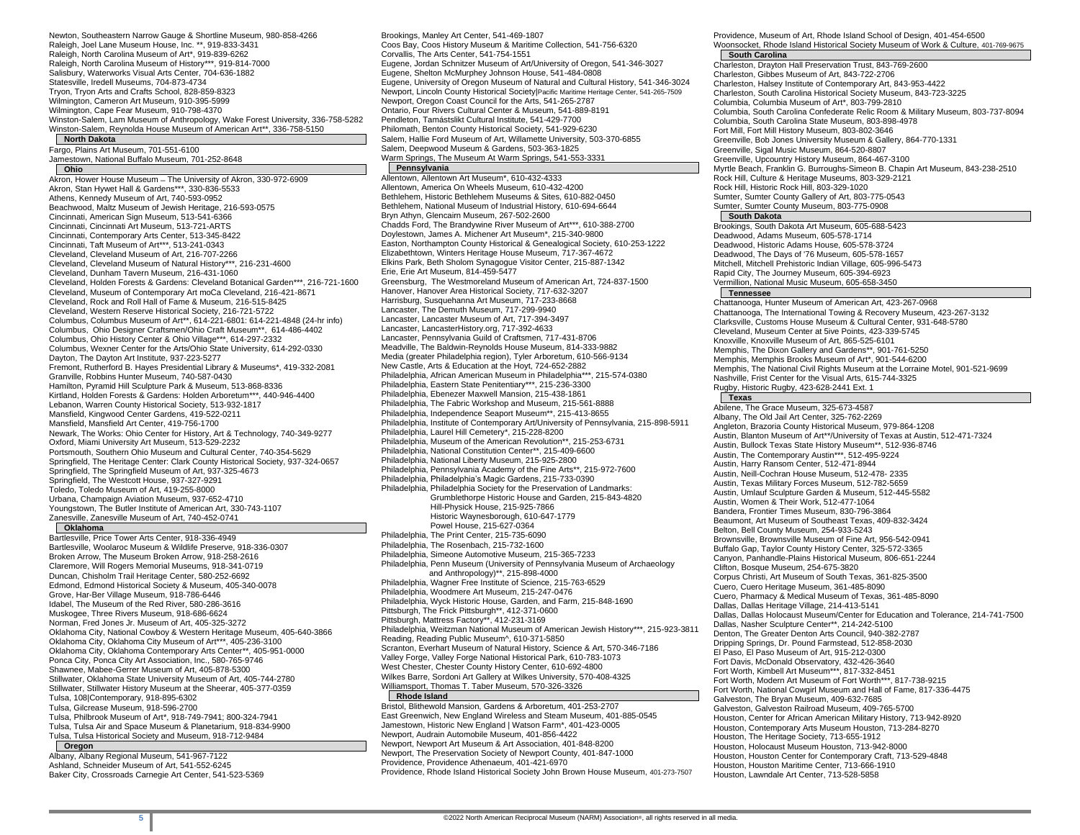Newton, Southeastern Narrow Gauge & Shortline Museum, 980-858-4266 Raleigh, Joel Lane Museum House, Inc. \*\*, 919-833-3431 Raleigh, North Carolina Museum of Art\*, 919-839-6262 Raleigh, North Carolina Museum of History\*\*\*, 919-814-7000 Salisbury, Waterworks Visual Arts Center, 704-636-1882 Statesville, Iredell Museums, 704-873-4734 Tryon, Tryon Arts and Crafts School, 828-859-8323 Wilmington, Cameron Art Museum, 910-395-5999 Wilmington, Cape Fear Museum, 910-798-4370 Winston-Salem, Lam Museum of Anthropology, Wake Forest University, 336-758-5282 Winston-Salem, Reynolda House Museum of American Art\*\*, 336-758-5150 **North Dakota**

Fargo, Plains Art Museum, 701-551-6100 Jamestown, National Buffalo Museum, 701-252-8648

### **Ohio**

Akron, Hower House Museum ̶ The University of Akron, 330-972-6909 Akron, Stan Hywet Hall & Gardens\*\*\*, 330-836-5533 Athens, Kennedy Museum of Art, 740-593-0952 Beachwood, Maltz Museum of Jewish Heritage, 216-593-0575 Cincinnati, American Sign Museum, 513-541-6366 Cincinnati, Cincinnati Art Museum, 513-721-ARTS Cincinnati, Contemporary Arts Center, 513-345-8422 Cincinnati, Taft Museum of Art\*\*\*, 513-241-0343 Cleveland, Cleveland Museum of Art, 216-707-2266 Cleveland, Cleveland Museum of Natural History\*\*\*, 216-231-4600 Cleveland, Dunham Tavern Museum, 216-431-1060 Cleveland, Holden Forests & Gardens: Cleveland Botanical Garden\*\*\*, 216-721-1600 Cleveland, Museum of Contemporary Art moCa Cleveland, 216-421-8671 Cleveland, Rock and Roll Hall of Fame & Museum, 216-515-8425 Cleveland, Western Reserve Historical Society, 216-721-5722 Columbus, Columbus Museum of Art\*\*, 614-221-6801: 614-221-4848 (24-hr info) Columbus, Ohio Designer Craftsmen/Ohio Craft Museum\*\*, 614-486-4402 Columbus, Ohio History Center & Ohio Village\*\*\*, 614-297-2332 Columbus, Wexner Center for the Arts/Ohio State University, 614-292-0330 Dayton, The Dayton Art Institute, 937-223-5277 Fremont, Rutherford B. Hayes Presidential Library & Museums\*, 419-332-2081 Granville, Robbins Hunter Museum, 740-587-0430 Hamilton, Pyramid Hill Sculpture Park & Museum, 513-868-8336 Kirtland, Holden Forests & Gardens: Holden Arboretum\*\*\*, 440-946-4400 Lebanon, Warren County Historical Society, 513-932-1817 Mansfield, Kingwood Center Gardens, 419-522-0211 Mansfield, Mansfield Art Center, 419-756-1700 Newark, The Works: Ohio Center for History, Art & Technology, 740-349-9277 Oxford, Miami University Art Museum, 513-529-2232 Portsmouth, Southern Ohio Museum and Cultural Center, 740-354-5629 Springfield, The Heritage Center: Clark County Historical Society, 937-324-0657 Springfield, The Springfield Museum of Art, 937-325-4673 Springfield, The Westcott House, 937-327-9291 Toledo, Toledo Museum of Art, 419-255-8000 Urbana, Champaign Aviation Museum, 937-652-4710 Youngstown, The Butler Institute of American Art, 330-743-1107 Zanesville, Zanesville Museum of Art, 740-452-0741

#### **Oklahoma**

Bartlesville, Price Tower Arts Center, 918-336-4949 Bartlesville, Woolaroc Museum & Wildlife Preserve, 918-336-0307 Broken Arrow, The Museum Broken Arrow, 918-258-2616 Claremore, Will Rogers Memorial Museums, 918-341-0719 Duncan, Chisholm Trail Heritage Center, 580-252-6692 Edmond, Edmond Historical Society & Museum, 405-340-0078 Grove, Har-Ber Village Museum, 918-786-6446 Idabel, The Museum of the Red River, 580-286-3616 Muskogee, Three Rivers Museum, 918-686-6624 Norman, Fred Jones Jr. Museum of Art, 405-325-3272 Oklahoma City, National Cowboy & Western Heritage Museum, 405-640-3866 Oklahoma City, Oklahoma City Museum of Art\*\*\*, 405-236-3100 Oklahoma City, Oklahoma Contemporary Arts Center\*\*, 405-951-0000 Ponca City, Ponca City Art Association, Inc., 580-765-9746 Shawnee, Mabee-Gerrer Museum of Art, 405-878-5300 Stillwater, Oklahoma State University Museum of Art, 405-744-2780 Stillwater, Stillwater History Museum at the Sheerar, 405-377-0359 Tulsa, 108|Contemporary, 918-895-6302 Tulsa, Gilcrease Museum, 918-596-2700 Tulsa, Philbrook Museum of Art\*, 918-749-7941; 800-324-7941 Tulsa, Tulsa Air and Space Museum & Planetarium, 918-834-9900 Tulsa, Tulsa Historical Society and Museum, 918-712-9484 **Oregon**

Albany, Albany Regional Museum, 541-967-7122 Ashland, Schneider Museum of Art, 541-552-6245 Baker City, Crossroads Carnegie Art Center, 541-523-5369 Brookings, Manley Art Center, 541-469-1807 Coos Bay, Coos History Museum & Maritime Collection, 541-756-6320 Corvallis, The Arts Center, 541-754-1551 Eugene, Jordan Schnitzer Museum of Art/University of Oregon, 541-346-3027 Eugene, Shelton McMurphey Johnson House, 541-484-0808 Eugene, University of Oregon Museum of Natural and Cultural History, 541-346-3024 Newport, Lincoln County Historical Society|Pacific Maritime Heritage Center, 541-265-7509 Newport, Oregon Coast Council for the Arts, 541-265-2787 Ontario, Four Rivers Cultural Center & Museum, 541-889-8191 Pendleton, Tamástslikt Cultural Institute, 541-429-7700 Philomath, Benton County Historical Society, 541-929-6230 Salem, Hallie Ford Museum of Art, Willamette University, 503-370-6855 Salem, Deepwood Museum & Gardens, 503-363-1825 Warm Springs, The Museum At Warm Springs, 541-553-3331 **Pennsylvania**

Allentown, Allentown Art Museum\*, 610-432-4333 Allentown, America On Wheels Museum, 610-432-4200 Bethlehem, Historic Bethlehem Museums & Sites, 610-882-0450 Bethlehem, National Museum of Industrial History, 610-694-6644 Bryn Athyn, Glencairn Museum, 267-502-2600 Chadds Ford, The Brandywine River Museum of Art\*\*\*, 610-388-2700 Doylestown, James A. Michener Art Museum\*, 215-340-9800 Easton, Northampton County Historical & Genealogical Society, 610-253-1222 Elizabethtown, Winters Heritage House Museum, 717-367-4672 Elkins Park, Beth Sholom Synagogue Visitor Center, 215-887-1342 Erie, Erie Art Museum, 814-459-5477 Greensburg, The Westmoreland Museum of American Art, 724-837-1500 Hanover, Hanover Area Historical Society, 717-632-3207 Harrisburg, Susquehanna Art Museum, 717-233-8668 Lancaster, The Demuth Museum, 717-299-9940 Lancaster, Lancaster Museum of Art, 717-394-3497 Lancaster, LancasterHistory.org, 717-392-4633 Lancaster, Pennsylvania Guild of Craftsmen, 717-431-8706 Meadville, The Baldwin-Reynolds House Museum, 814-333-9882 Media (greater Philadelphia region), Tyler Arboretum, 610-566-9134 New Castle, Arts & Education at the Hoyt, 724-652-2882 Philadelphia, African American Museum in Philadelphia\*\*\*, 215-574-0380 Philadelphia, Eastern State Penitentiary\*\*\*, 215-236-3300 Philadelphia, Ebenezer Maxwell Mansion, 215-438-1861 Philadelphia, The Fabric Workshop and Museum, 215-561-8888 Philadelphia, Independence Seaport Museum\*\*, 215-413-8655 Philadelphia, Institute of Contemporary Art/University of Pennsylvania, 215-898-5911 Philadelphia, Laurel Hill Cemetery\*, 215-228-8200 Philadelphia, Museum of the American Revolution\*\*, 215-253-6731 Philadelphia, National Constitution Center\*\*, 215-409-6600 Philadelphia, National Liberty Museum, 215-925-2800 Philadelphia, Pennsylvania Academy of the Fine Arts\*\*, 215-972-7600 Philadelphia, Philadelphia's Magic Gardens, 215-733-0390 Philadelphia, Philadelphia Society for the Preservation of Landmarks: Grumblethorpe Historic House and Garden, 215-843-4820 Hill-Physick House, 215-925-7866 Historic Waynesborough, 610-647-1779 Powel House, 215-627-0364 Philadelphia, The Print Center, 215-735-6090 Philadelphia, The Rosenbach, 215-732-1600 Philadelphia, Simeone Automotive Museum, 215-365-7233 Philadelphia, Penn Museum (University of Pennsylvania Museum of Archaeology and Anthropology)\*\*, 215-898-4000 Philadelphia, Wagner Free Institute of Science, 215-763-6529 Philadelphia, Woodmere Art Museum, 215-247-0476 Philadelphia, Wyck Historic House, Garden, and Farm, 215-848-1690

Pittsburgh, The Frick Pittsburgh\*\*, 412-371-0600 Pittsburgh, Mattress Factory\*\*, 412-231-3169 Philadelphia, Weitzman National Museum of American Jewish History\*\*\*, 215-923-3811 Reading, Reading Public Museum^, 610-371-5850 Scranton, Everhart Museum of Natural History, Science & Art, 570-346-7186 Valley Forge, Valley Forge National Historical Park, 610-783-1073 West Chester, Chester County History Center, 610-692-4800 Wilkes Barre, Sordoni Art Gallery at Wilkes University, 570-408-4325 Williamsport, Thomas T. Taber Museum, 570-326-3326 **Rhode Island**

Bristol, Blithewold Mansion, Gardens & Arboretum, 401-253-2707 East Greenwich, New England Wireless and Steam Museum, 401-885-0545 Jamestown, Historic New England | Watson Farm\*, 401-423-0005 Newport, Audrain Automobile Museum, 401-856-4422 Newport, Newport Art Museum & Art Association, 401-848-8200 Newport, The Preservation Society of Newport County, 401-847-1000 Providence, Providence Athenaeum, 401-421-6970 Providence, Rhode Island Historical Society John Brown House Museum, 401-273-7507 Woonsocket, Rhode Island Historical Society Museum of Work & Culture, 401-769-9675 **South Carolina** Charleston, Drayton Hall Preservation Trust, 843-769-2600 Charleston, Gibbes Museum of Art, 843-722-2706 Charleston, Halsey Institute of Contemporary Art, 843-953-4422 Charleston, South Carolina Historical Society Museum, 843-723-3225 Columbia, Columbia Museum of Art\*, 803-799-2810 Columbia, South Carolina Confederate Relic Room & Military Museum, 803-737-8094 Columbia, South Carolina State Museum, 803-898-4978 Fort Mill, Fort Mill History Museum, 803-802-3646 Greenville, Bob Jones University Museum & Gallery, 864-770-1331 Greenville, Sigal Music Museum, 864-520-8807 Greenville, Upcountry History Museum, 864-467-3100 Myrtle Beach, Franklin G. Burroughs-Simeon B. Chapin Art Museum, 843-238-2510 Rock Hill, Culture & Heritage Museums, 803-329-2121 Rock Hill, Historic Rock Hill, 803-329-1020 Sumter, Sumter County Gallery of Art, 803-775-0543 Sumter, Sumter County Museum, 803-775-0908 **South Dakota** Brookings, South Dakota Art Museum, 605-688-5423 Deadwood, Adams Museum, 605-578-1714 Deadwood, Historic Adams House, 605-578-3724 Deadwood, The Days of '76 Museum, 605-578-1657 Mitchell, Mitchell Prehistoric Indian Village, 605-996-5473 Rapid City, The Journey Museum, 605-394-6923 Vermillion, National Music Museum, 605-658-3450 **Tennessee** Chattanooga, Hunter Museum of American Art, 423-267-0968 Chattanooga, The International Towing & Recovery Museum, 423-267-3132 Clarksville, Customs House Museum & Cultural Center, 931-648-5780 Cleveland, Museum Center at 5ive Points, 423-339-5745 Knoxville, Knoxville Museum of Art, 865-525-6101 Memphis, The Dixon Gallery and Gardens\*\*, 901-761-5250 Memphis, Memphis Brooks Museum of Art\*, 901-544-6200 Memphis, The National Civil Rights Museum at the Lorraine Motel, 901-521-9699 Nashville, Frist Center for the Visual Arts, 615-744-3325 Rugby, Historic Rugby, 423-628-2441 Ext. 1 **Texas** Abilene, The Grace Museum, 325-673-4587 Albany, The Old Jail Art Center, 325-762-2269 Angleton, Brazoria County Historical Museum, 979-864-1208 Austin, Blanton Museum of Art\*\*/University of Texas at Austin, 512-471-7324 Austin, Bullock Texas State History Museum\*\*, 512-936-8746 Austin, The Contemporary Austin\*\*\*, 512-495-9224 Austin, Harry Ransom Center, 512-471-8944 Austin, Neill-Cochran House Museum, 512-478- 2335 Austin, Texas Military Forces Museum, 512-782-5659 Austin, Umlauf Sculpture Garden & Museum, 512-445-5582 Austin, Women & Their Work, 512-477-1064 Bandera, Frontier Times Museum, 830-796-3864 Beaumont, Art Museum of Southeast Texas, 409-832-3424 Belton, Bell County Museum, 254-933-5243 Brownsville, Brownsville Museum of Fine Art, 956-542-0941 Buffalo Gap, Taylor County History Center, 325-572-3365 Canyon, Panhandle-Plains Historical Museum, 806-651-2244 Clifton, Bosque Museum, 254-675-3820 Corpus Christi, Art Museum of South Texas, 361-825-3500 Cuero, Cuero Heritage Museum, 361-485-8090 Cuero, Pharmacy & Medical Museum of Texas, 361-485-8090 Dallas, Dallas Heritage Village, 214-413-5141 Dallas, Dallas Holocaust Museum/Center for Education and Tolerance, 214-741-7500 Dallas, Nasher Sculpture Center\*\*, 214-242-5100 Denton, The Greater Denton Arts Council, 940-382-2787 Dripping Springs, Dr. Pound Farmstead, 512-858-2030 El Paso, El Paso Museum of Art, 915-212-0300 Fort Davis, McDonald Observatory, 432-426-3640 Fort Worth, Kimbell Art Museum\*\*\*, 817-332-8451 Fort Worth, Modern Art Museum of Fort Worth\*\*\*, 817-738-9215 Fort Worth, National Cowgirl Museum and Hall of Fame, 817-336-4475 Galveston, The Bryan Museum, 409-632-7685 Galveston, Galveston Railroad Museum, 409-765-5700 Houston, Center for African American Military History, 713-942-8920 Houston, Contemporary Arts Museum Houston, 713-284-8270 Houston, The Heritage Society, 713-655-1912 Houston, Holocaust Museum Houston, 713-942-8000 Houston, Houston Center for Contemporary Craft, 713-529-4848

Houston, Houston Maritime Center, 713-666-1910 Houston, Lawndale Art Center, 713-528-5858

Providence, Museum of Art, Rhode Island School of Design, 401-454-6500